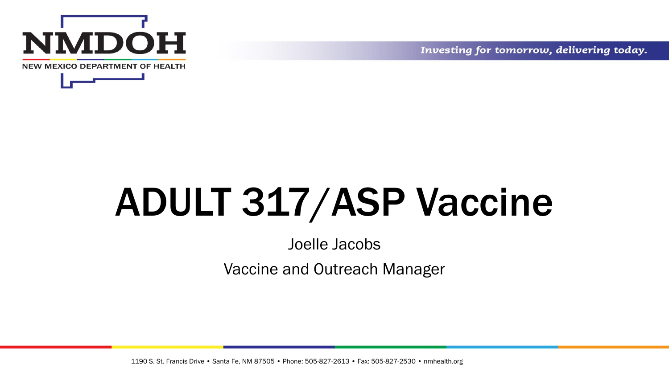



Investing for tomorrow, delivering today.

# ADULT 317/ASP Vaccine

#### Joelle Jacobs

Vaccine and Outreach Manager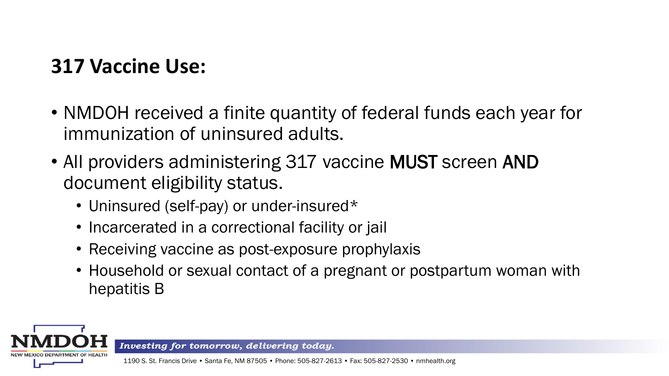### **317 Vaccine Use:**

- NMDOH received a finite quantity of federal funds each year for immunization of uninsured adults.
- All providers administering 317 vaccine MUST screen AND document eligibility status.
	- Uninsured (self-pay) or under-insured\*
	- Incarcerated in a correctional facility or jail
	- Receiving vaccine as post-exposure prophylaxis
	- Household or sexual contact of a pregnant or postpartum woman with hepatitis B



Investing for tomorrow, delivering today.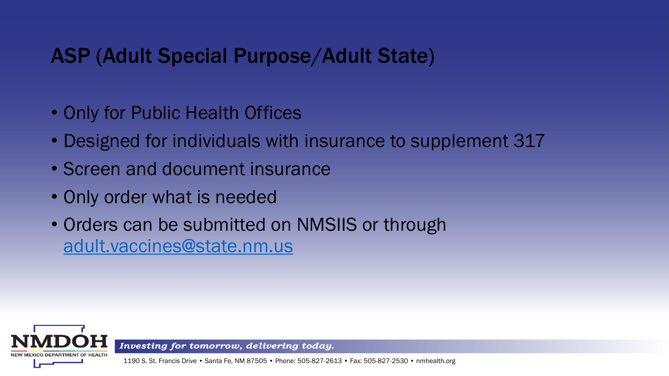### ASP (Adult Special Purpose/Adult State)

- Only for Public Health Offices
- Designed for individuals with insurance to supplement 317
- Screen and document insurance
- Only order what is needed
- Orders can be submitted on NMSIIS or through [adult.vaccines@state.nm.us](mailto:adult.vaccines@state.nm.us)



Investing for tomorrow, delivering today.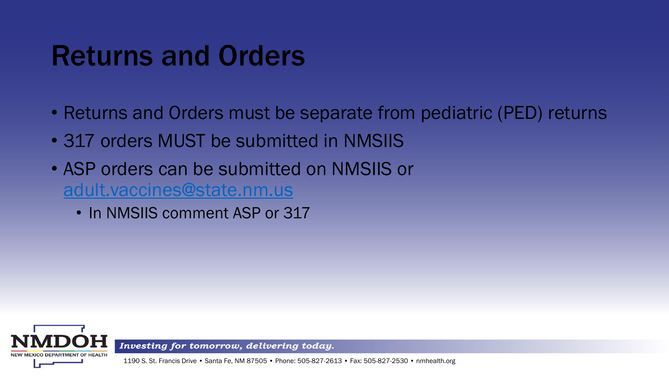## Returns and Orders

- Returns and Orders must be separate from pediatric (PED) returns
- 317 orders MUST be submitted in NMSIIS
- ASP orders can be submitted on NMSIIS or [adult.vaccines@state.nm.us](mailto:adult.vaccines@state.nm.us)
	- In NMSIIS comment ASP or 317



Investing for tomorrow, delivering today.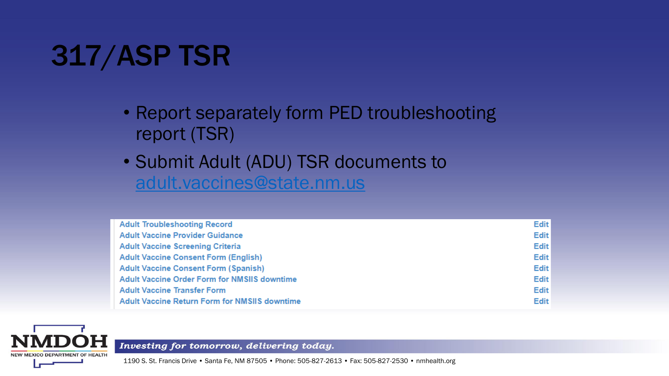# 317/ASP TSR

- Report separately form PED troubleshooting report (TSR)
- Submit Adult (ADU) TSR documents to [adult.vaccines@state.nm.us](mailto:adult.vaccines@state.nm.us)

| <b>Adult Troubleshooting Record</b>                  | Edit        |
|------------------------------------------------------|-------------|
| <b>Adult Vaccine Provider Guidance</b>               | <b>Edit</b> |
| <b>Adult Vaccine Screening Criteria</b>              | Edit        |
| <b>Adult Vaccine Consent Form (English)</b>          | Edit        |
| <b>Adult Vaccine Consent Form (Spanish)</b>          | Edit        |
| <b>Adult Vaccine Order Form for NMSIIS downtime</b>  | Edit        |
| <b>Adult Vaccine Transfer Form</b>                   | <b>Edit</b> |
| <b>Adult Vaccine Return Form for NMSIIS downtime</b> | <b>Edit</b> |



Investing for tomorrow, delivering today.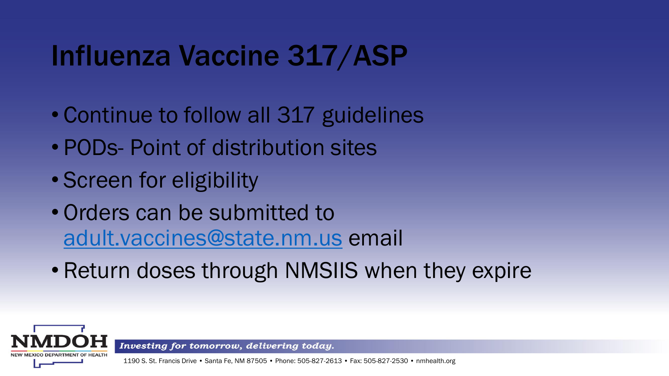# Influenza Vaccine 317/ASP

- Continue to follow all 317 guidelines
- PODs- Point of distribution sites
- Screen for eligibility
- Orders can be submitted to [adult.vaccines@state.nm.us](mailto:adult.vaccines@state.nm.us) email
- Return doses through NMSIIS when they expire



Investing for tomorrow, delivering today.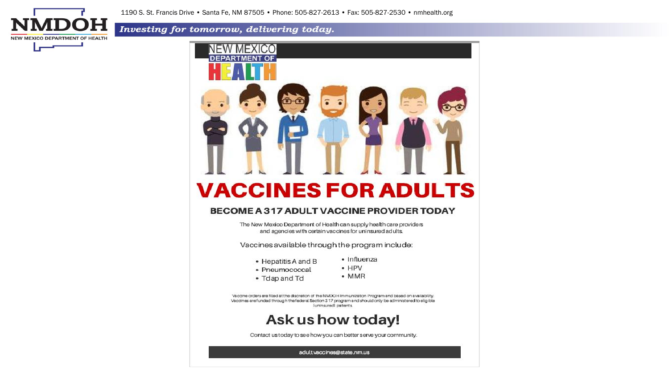**DOH NEW MEXICO DEPARTMENT OF HEALTH** 

1190 S. St. Francis Drive • Santa Fe, NM 87505 • Phone: 505-827-2613 • Fax: 505-827-2530 • nmhealth.org

#### Investing for tomorrow, delivering today.



**VACCINES FOR ADULTS** 

#### BECOME A 317 ADULT VACCINE PROVIDER TODAY

The New Mexico Department of Health can supply health care providers and agencies with certain vaccines for uninsured adults.

Vaccines available through the program include:

- Hepatitis A and B
- · Influenza  $\bullet$  HPV
- Pneumococcal
- 
- Tdap and Td
- $•$  MMR

Vaccine orders are filled at the discretion of the NMDOH Immunization Program and based on availability. Vaccines are funded through the federal Section 3.17 program and should only be administered to eligible (uninsured) patients.



Contact us today to see how you can better serve your community.

adult.vaccines@state.nm.us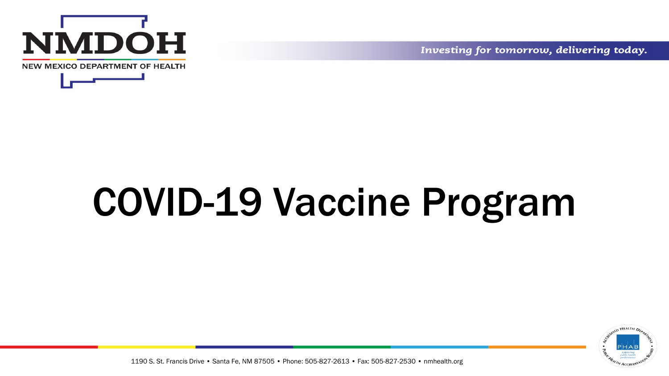



Investing for tomorrow, delivering today.

# COVID-19 Vaccine Program

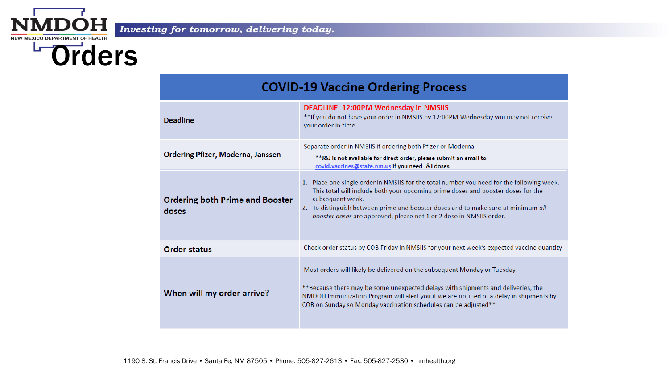



| <b>COVID-19 Vaccine Ordering Process</b>        |                                                                                                                                                                                                                                                                                                                                                               |  |  |  |  |  |
|-------------------------------------------------|---------------------------------------------------------------------------------------------------------------------------------------------------------------------------------------------------------------------------------------------------------------------------------------------------------------------------------------------------------------|--|--|--|--|--|
| <b>Deadline</b>                                 | DEADLINE: 12:00PM Wednesday in NMSIIS<br>**If you do not have your order in NMSIIS by 12:00PM Wednesday you may not receive<br>your order in time.                                                                                                                                                                                                            |  |  |  |  |  |
| Ordering Pfizer, Moderna, Janssen               | Separate order in NMSIIS if ordering both Pfizer or Moderna<br>** J&J is not available for direct order, please submit an email to<br>covid.vaccines@state.nm.us if you need J&J doses                                                                                                                                                                        |  |  |  |  |  |
| <b>Ordering both Prime and Booster</b><br>doses | 1. Place one single order in NMSIIS for the total number you need for the following week.<br>This total will include both your upcoming prime doses and booster doses for the<br>subsequent week.<br>2. To distinguish between prime and booster doses and to make sure at minimum all<br>booster doses are approved, please not 1 or 2 dose in NMSIIS order. |  |  |  |  |  |
| <b>Order status</b>                             | Check order status by COB Friday in NMSIIS for your next week's expected vaccine quantity                                                                                                                                                                                                                                                                     |  |  |  |  |  |
| When will my order arrive?                      | Most orders will likely be delivered on the subsequent Monday or Tuesday.<br>**Because there may be some unexpected delays with shipments and deliveries, the<br>NMDOH Immunization Program will alert you if we are notified of a delay in shipments by<br>COB on Sunday so Monday vaccination schedules can be adjusted**                                   |  |  |  |  |  |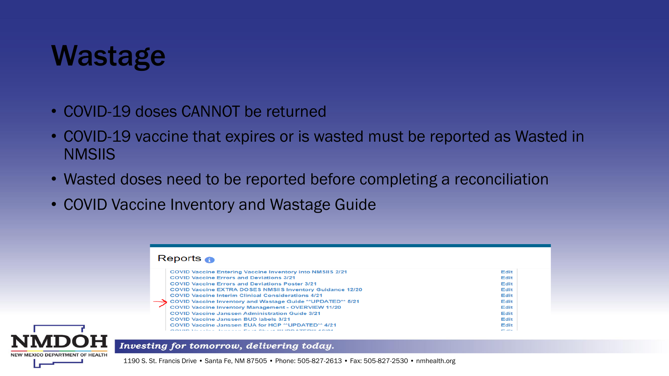## Wastage

**NEW MEXICO DEPARTMENT OF HEALTH** 

- COVID-19 doses CANNOT be returned
- COVID-19 vaccine that expires or is wasted must be reported as Wasted in **NMSIIS**
- Wasted doses need to be reported before completing a reconciliation
- COVID Vaccine Inventory and Wastage Guide

#### Reports n **COVID Vaccine Entering Vaccine Inventory into NMSIIS 2/21** Edit **COVID Vaccine Errors and Deviations 3/21 Edit COVID Vaccine Errors and Deviations Poster 3/21** Edit **COVID Vaccine EXTRA DOSES NMSIIS Inventory Guidance 12/20 Edit COVID Vaccine Interim Clinical Considerations 4/21** Edit COVID Vaccine Inventory and Wastage Guide \*\* UPDATED\*\* 5/21 Edit **COVID Vaccine Inventory Management - OVERVIEW 11/20 Edit COVID Vaccine Janssen Administration Guide 3/21** Edit **COVID Vaccine Janssen BUD labels 3/21 Edit** COVID Vaccine Janssen EUA for HCP \*\* UPDATED\*\* 4/21 **Edit OOVER VELLER FELLER PLACE OF A SKIDD A TEDAX AND**  $-$  100  $-$

Investing for tomorrow, delivering today.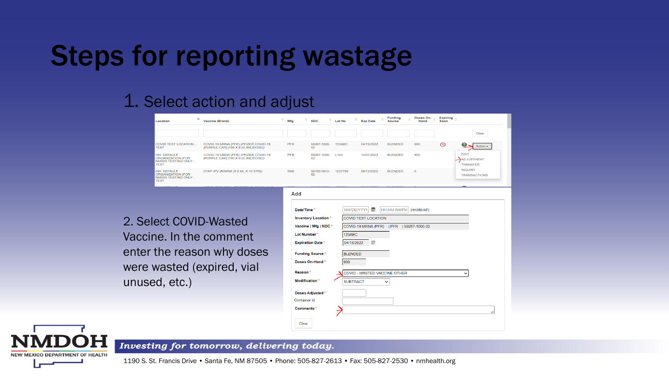## Steps for reporting wastage

#### 1. Select action and adjust

| Location                                                                                | <b>Vaccine (Brand)</b>                                                      | Mfa                                          | <b>NDC</b>                                          |      | <b>Lot No</b>   | <b>Exp Date</b>                                                  |             | <b>Funding</b><br><b>Source</b> |             | Doses On-<br>Hand | <b>Expiring</b><br>Soon |                                |
|-----------------------------------------------------------------------------------------|-----------------------------------------------------------------------------|----------------------------------------------|-----------------------------------------------------|------|-----------------|------------------------------------------------------------------|-------------|---------------------------------|-------------|-------------------|-------------------------|--------------------------------|
|                                                                                         |                                                                             |                                              |                                                     |      |                 |                                                                  |             |                                 |             |                   |                         | Clear                          |
| <b>COVID TEST LOCATION -</b><br><b>TEST</b>                                             | COVID-19 MRNA (PFR) (PFIZER COVID-19<br>[PURPLE CAP] (195 X 6 (0.3ML/DOSE)) | <b>PFR</b>                                   | 59267-1000-<br>02                                   |      | <b>123ABC</b>   | 04/15/2022                                                       |             | <b>BLENDED</b>                  | 900         |                   | $\odot$                 | Action $\sim$                  |
| <b>INV: DEFAULT</b><br><b>ORGANIZATION (FOR</b><br>NMSIIS TESTING ONLY -<br><b>TEST</b> | COVID-19 MRNA (PFR) (PFIZER COVID-19<br>[PURPLE CAP] (195 X 6 (0.3ML/DOSE)) | <b>PFR</b>                                   | 59267-1000-<br>02                                   | L143 |                 | 12/01/2022                                                       |             | <b>BLENDED</b>                  | 400         |                   |                         | EDIT<br>ADJUSTMENT<br>TRANSFER |
| <b>INV: DEFAULT</b><br>ORGANIZATION (FOR<br>NMSIIS TESTING ONLY -<br><b>TEST</b>        | DTAP-IPV (KINRIX (0.5 ML X 10 SYR))                                         | <b>SKB</b>                                   | 58160-0812-<br>52                                   |      | 1237789         | 08/13/2022                                                       |             | <b>BLENDED</b>                  | 5           |                   |                         | <b>INQUIRY</b><br>TRANSACTIONS |
|                                                                                         |                                                                             | Add                                          |                                                     |      |                 |                                                                  |             |                                 |             |                   |                         |                                |
|                                                                                         |                                                                             | Date/Time                                    |                                                     |      | MM/DD/YYYY      | 畐                                                                |             | <b>HH:MM AM/PM</b>              | (HH:MM A/P) |                   |                         |                                |
|                                                                                         | 2. Select COVID-Wasted                                                      |                                              | <b>Inventory Location*</b><br>Vaccine   Mfg   NDC * |      |                 | COVID TEST LOCATION<br>COVID-19 MRNA (PFR)   PFR   59267-1000-02 |             |                                 |             |                   |                         |                                |
|                                                                                         | Vaccine. In the comment                                                     | Lot Number*                                  |                                                     |      | 123ABC          |                                                                  |             |                                 |             |                   |                         |                                |
|                                                                                         |                                                                             |                                              | <b>Expiration Date *</b>                            |      | 04/15/2022      | E                                                                |             |                                 |             |                   |                         |                                |
|                                                                                         | enter the reason why doses                                                  |                                              | <b>Funding Source</b>                               |      | <b>BLENDED</b>  |                                                                  |             |                                 |             |                   |                         |                                |
|                                                                                         | were wasted (expired, vial                                                  |                                              | Doses On-Hand*                                      |      | 900             |                                                                  |             |                                 |             |                   |                         |                                |
|                                                                                         |                                                                             | Reason <sup>'</sup><br><b>Modification</b> * |                                                     |      | <b>SUBTRACT</b> | COVID - WASTED VACCINE OTHER                                     | $\check{ }$ |                                 |             |                   |                         | $\check{ }$                    |
| unused, etc.)                                                                           |                                                                             |                                              |                                                     |      |                 |                                                                  |             |                                 |             |                   |                         |                                |
|                                                                                         |                                                                             | Container Id                                 | <b>Doses Adjusted *</b>                             |      |                 |                                                                  |             |                                 |             |                   |                         |                                |
|                                                                                         |                                                                             | Comments *                                   |                                                     |      |                 |                                                                  |             |                                 |             |                   |                         |                                |
|                                                                                         |                                                                             | Clear                                        |                                                     |      |                 |                                                                  |             |                                 |             |                   |                         |                                |

#### Investing for tomorrow, delivering today.

**NEW MEXICO DEPARTMENT OF HEALTH**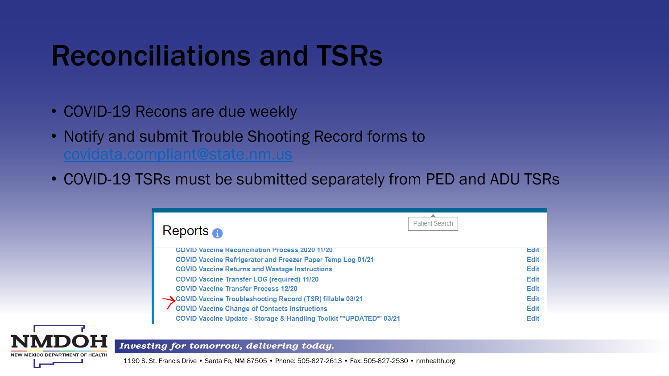# Reconciliations and TSRs

- COVID-19 Recons are due weekly
- Notify and submit Trouble Shooting Record forms to [covidata.compliant@state.nm.us](mailto:covidata.compliant@state.nm.us)
- COVID-19 TSRs must be submitted separately from PED and ADU TSRs

| Reports $\bigcirc$                                                   | <b>Patient Search</b> |
|----------------------------------------------------------------------|-----------------------|
| <b>COVID Vaccine Reconciliation Process 2020 11/20</b>               | Edit                  |
| COVID Vaccine Refrigerator and Freezer Paper Temp Log 01/21          | <b>Edit</b>           |
| <b>COVID Vaccine Returns and Wastage Instructions</b>                | <b>Edit</b>           |
| <b>COVID Vaccine Transfer LOG (required) 11/20</b>                   | <b>Edit</b>           |
| <b>COVID Vaccine Transfer Process 12/20</b>                          | <b>Edit</b>           |
| COVID Vaccine Troubleshooting Record (TSR) fillable 03/21            | <b>Edit</b>           |
| <b>COVID Vaccine Change of Contacts Instructions</b>                 | <b>Edit</b>           |
| COVID Vaccine Update - Storage & Handling Toolkit ** UPDATED** 03/21 | <b>Edit</b>           |

#### Investing for tomorrow, delivering today.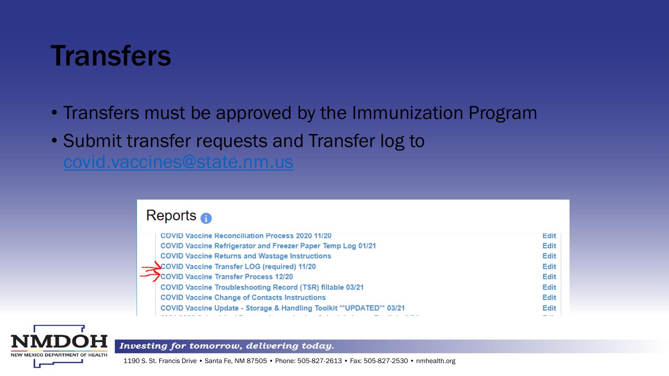# **Transfers**

- Transfers must be approved by the Immunization Program
- Submit transfer requests and Transfer log to [covid.vaccines@state.nm.us](mailto:covid.vaccines@state.nm.us)

#### Reports  $\bigcap$

| <b>Edit</b> |
|-------------|
| <b>Edit</b> |
| <b>Edit</b> |
| <b>Edit</b> |
| <b>Edit</b> |
| <b>Edit</b> |
| <b>Edit</b> |
|             |



Investing for tomorrow, delivering today.